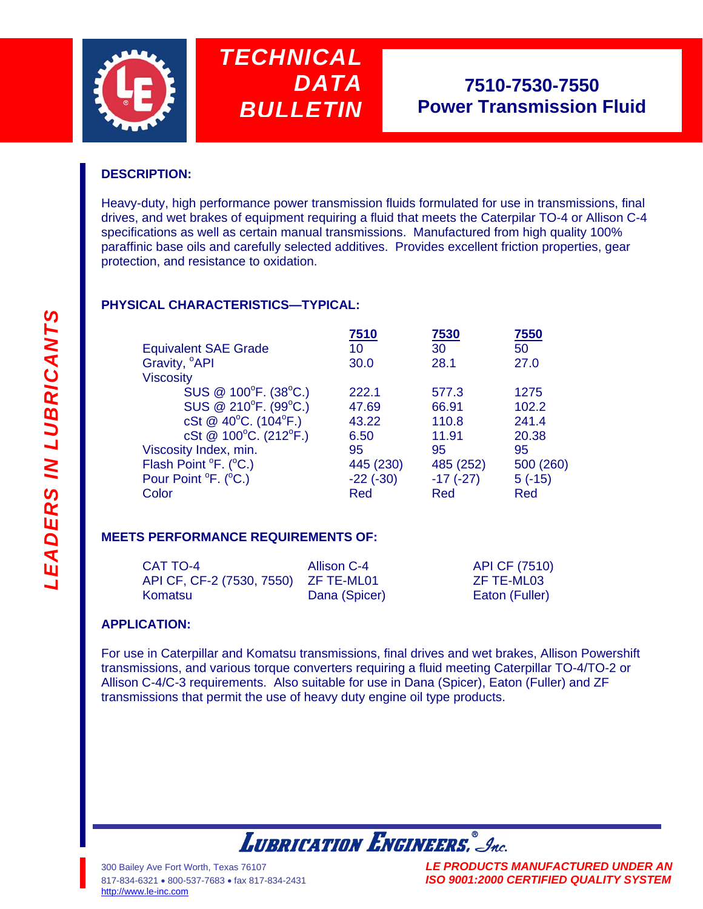

# *TECHNICAL DATA BULLETIN*

# **7510-7530-7550 Power Transmission Fluid**

## **DESCRIPTION:**

Heavy-duty, high performance power transmission fluids formulated for use in transmissions, final drives, and wet brakes of equipment requiring a fluid that meets the Caterpilar TO-4 or Allison C-4 specifications as well as certain manual transmissions. Manufactured from high quality 100% paraffinic base oils and carefully selected additives. Provides excellent friction properties, gear protection, and resistance to oxidation.

### **PHYSICAL CHARACTERISTICS—TYPICAL:**

| 7510          | 7530       | 7550      |
|---------------|------------|-----------|
| 10            | 30         | 50        |
| 30.0          | 28.1       | 27.0      |
|               |            |           |
| 222.1         | 577.3      | 1275      |
| 47.69         | 66.91      | 102.2     |
| 43.22         | 110.8      | 241.4     |
| 6.50          | 11.91      | 20.38     |
| 95            | 95         | 95        |
| 445 (230)     | 485 (252)  | 500 (260) |
| $-22$ $(-30)$ | $-17(-27)$ | $5(-15)$  |
| Red           | Red        | Red       |
|               |            |           |

### **MEETS PERFORMANCE REQUIREMENTS OF:**

| CAT TO-4                             | Allison C-4   | API CF (7510)  |
|--------------------------------------|---------------|----------------|
| API CF, CF-2 (7530, 7550) ZF TE-ML01 |               | ZF TE-ML03     |
| Komatsu                              | Dana (Spicer) | Eaton (Fuller) |

#### **APPLICATION:**

For use in Caterpillar and Komatsu transmissions, final drives and wet brakes, Allison Powershift transmissions, and various torque converters requiring a fluid meeting Caterpillar TO-4/TO-2 or Allison C-4/C-3 requirements. Also suitable for use in Dana (Spicer), Eaton (Fuller) and ZF transmissions that permit the use of heavy duty engine oil type products.



[http://www.le-inc.com](http://www.le-inc.com/)

300 Bailey Ave Fort Worth, Texas 76107 *LE PRODUCTS MANUFACTURED UNDER AN* 817-834-6321 • 800-537-7683 • fax 817-834-2431 *ISO 9001:2000 CERTIFIED QUALITY SYSTEM*